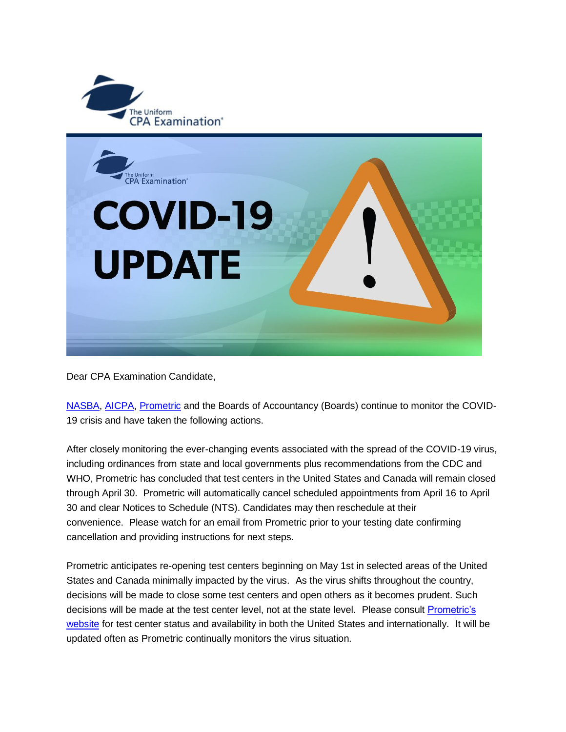

Dear CPA Examination Candidate,

[NASBA,](https://gcc02.safelinks.protection.outlook.com/?url=https%3A%2F%2Ft.e2ma.net%2Fclick%2Ffdrc6b%2Fvdia4b%2F7actom&data=02%7C01%7CKristen.Vanwinkle%40nebraska.gov%7C31ecb467627d4f9a9e1408d7dd829100%7C043207dfe6894bf6902001038f11f0b1%7C0%7C0%7C637221425155171571&sdata=EBVE%2FmE3PgO7P5FsINZ98z%2BTWE1P5SLQcaTC7JcfOHQ%3D&reserved=0) [AICPA,](https://gcc02.safelinks.protection.outlook.com/?url=https%3A%2F%2Ft.e2ma.net%2Fclick%2Ffdrc6b%2Fvdia4b%2Fn3ctom&data=02%7C01%7CKristen.Vanwinkle%40nebraska.gov%7C31ecb467627d4f9a9e1408d7dd829100%7C043207dfe6894bf6902001038f11f0b1%7C0%7C0%7C637221425155181573&sdata=MrTpDDUQLunX1FPwOy5Ni2IU39L0nHKXB9PC%2BhILC5A%3D&reserved=0) [Prometric](https://gcc02.safelinks.protection.outlook.com/?url=https%3A%2F%2Ft.e2ma.net%2Fclick%2Ffdrc6b%2Fvdia4b%2F3vdtom&data=02%7C01%7CKristen.Vanwinkle%40nebraska.gov%7C31ecb467627d4f9a9e1408d7dd829100%7C043207dfe6894bf6902001038f11f0b1%7C0%7C0%7C637221425155181573&sdata=qjnWfBSQYapgf3JJm49%2Bid5s59bfN2HerB%2FjRK%2FAnu0%3D&reserved=0) and the Boards of Accountancy (Boards) continue to monitor the COVID-19 crisis and have taken the following actions.

After closely monitoring the ever-changing events associated with the spread of the COVID-19 virus, including ordinances from state and local governments plus recommendations from the CDC and WHO, Prometric has concluded that test centers in the United States and Canada will remain closed through April 30. Prometric will automatically cancel scheduled appointments from April 16 to April 30 and clear Notices to Schedule (NTS). Candidates may then reschedule at their convenience. Please watch for an email from Prometric prior to your testing date confirming cancellation and providing instructions for next steps.

Prometric anticipates re-opening test centers beginning on May 1st in selected areas of the United States and Canada minimally impacted by the virus. As the virus shifts throughout the country, decisions will be made to close some test centers and open others as it becomes prudent. Such decisions will be made at the test center level, not at the state level. Please consult Prometric's [website](https://gcc02.safelinks.protection.outlook.com/?url=https%3A%2F%2Ft.e2ma.net%2Fclick%2Ffdrc6b%2Fvdia4b%2Fjoetom&data=02%7C01%7CKristen.Vanwinkle%40nebraska.gov%7C31ecb467627d4f9a9e1408d7dd829100%7C043207dfe6894bf6902001038f11f0b1%7C0%7C0%7C637221425155191570&sdata=8VzmxJ3KY4iDlhPP%2Bjb9zAuuGSPNYLJY12hgpHgEQ4Y%3D&reserved=0) for test center status and availability in both the United States and internationally. It will be updated often as Prometric continually monitors the virus situation.